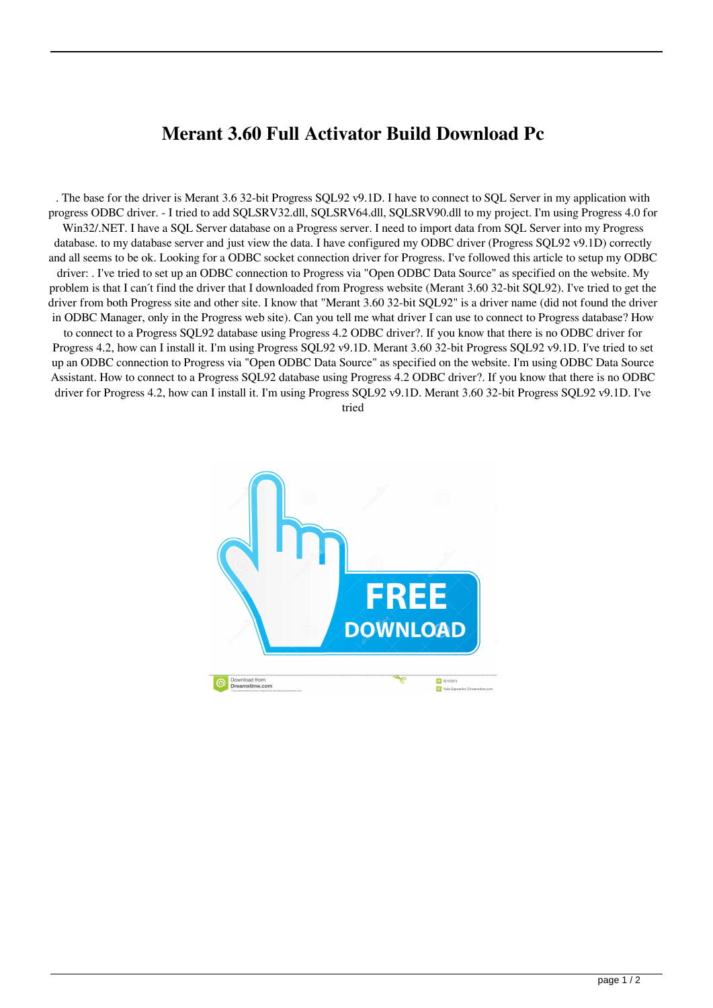## **Merant 3.60 Full Activator Build Download Pc**

. The base for the driver is Merant 3.6 32-bit Progress SQL92 v9.1D. I have to connect to SQL Server in my application with progress ODBC driver. - I tried to add SQLSRV32.dll, SQLSRV64.dll, SQLSRV90.dll to my project. I'm using Progress 4.0 for Win32/.NET. I have a SQL Server database on a Progress server. I need to import data from SQL Server into my Progress database. to my database server and just view the data. I have configured my ODBC driver (Progress SQL92 v9.1D) correctly and all seems to be ok. Looking for a ODBC socket connection driver for Progress. I've followed this article to setup my ODBC driver: . I've tried to set up an ODBC connection to Progress via "Open ODBC Data Source" as specified on the website. My problem is that I can´t find the driver that I downloaded from Progress website (Merant 3.60 32-bit SQL92). I've tried to get the driver from both Progress site and other site. I know that "Merant 3.60 32-bit SQL92" is a driver name (did not found the driver in ODBC Manager, only in the Progress web site). Can you tell me what driver I can use to connect to Progress database? How to connect to a Progress SQL92 database using Progress 4.2 ODBC driver?. If you know that there is no ODBC driver for Progress 4.2, how can I install it. I'm using Progress SQL92 v9.1D. Merant 3.60 32-bit Progress SQL92 v9.1D. I've tried to set up an ODBC connection to Progress via "Open ODBC Data Source" as specified on the website. I'm using ODBC Data Source Assistant. How to connect to a Progress SQL92 database using Progress 4.2 ODBC driver?. If you know that there is no ODBC driver for Progress 4.2, how can I install it. I'm using Progress SQL92 v9.1D. Merant 3.60 32-bit Progress SQL92 v9.1D. I've

tried